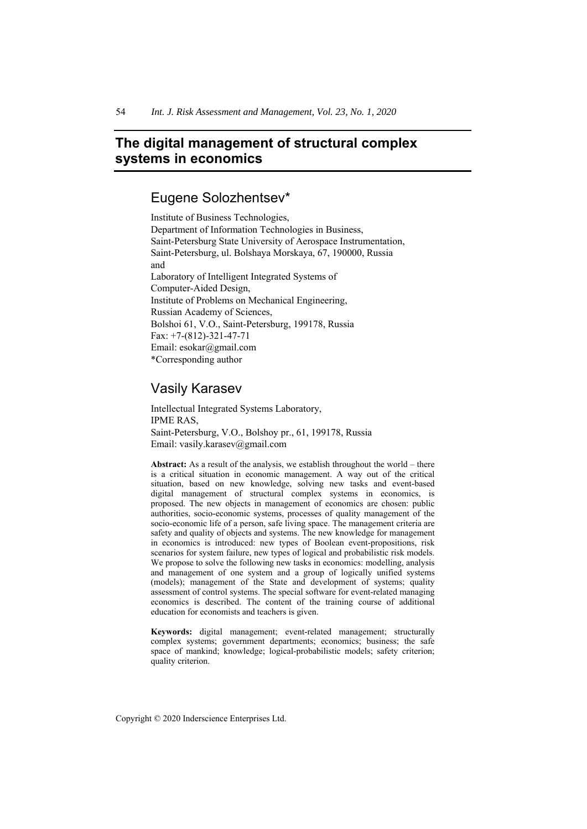# **The digital management of structural complex systems in economics**

# Eugene Solozhentsev\*

Institute of Business Technologies, Department of Information Technologies in Business, Saint-Petersburg State University of Aerospace Instrumentation, Saint-Petersburg, ul. Bolshaya Morskaya, 67, 190000, Russia and Laboratory of Intelligent Integrated Systems of Computer-Aided Design, Institute of Problems on Mechanical Engineering, Russian Academy of Sciences, Bolshoi 61, V.O., Saint-Petersburg, 199178, Russia Fax: +7-(812)-321-47-71 Email: esokar@gmail.com \*Corresponding author

# Vasily Karasev

Intellectual Integrated Systems Laboratory, IPME RAS, Saint-Petersburg, V.O., Bolshoy pr., 61, 199178, Russia Email: vasily.karasev@gmail.com

**Abstract:** As a result of the analysis, we establish throughout the world – there is a critical situation in economic management. A way out of the critical situation, based on new knowledge, solving new tasks and event-based digital management of structural complex systems in economics, is proposed. The new objects in management of economics are chosen: public authorities, socio-economic systems, processes of quality management of the socio-economic life of a person, safe living space. The management criteria are safety and quality of objects and systems. The new knowledge for management in economics is introduced: new types of Boolean event-propositions, risk scenarios for system failure, new types of logical and probabilistic risk models. We propose to solve the following new tasks in economics: modelling, analysis and management of one system and a group of logically unified systems (models); management of the State and development of systems; quality assessment of control systems. The special software for event-related managing economics is described. The content of the training course of additional education for economists and teachers is given.

**Keywords:** digital management; event-related management; structurally complex systems; government departments; economics; business; the safe space of mankind; knowledge; logical-probabilistic models; safety criterion; quality criterion.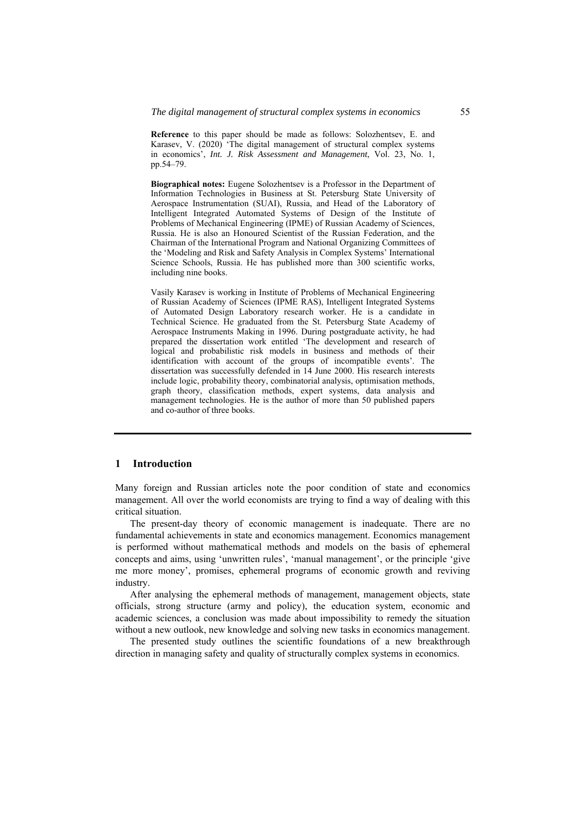**Reference** to this paper should be made as follows: Solozhentsev, E. and Karasev, V. (2020) 'The digital management of structural complex systems in economics', *Int. J. Risk Assessment and Management*, Vol. 23, No. 1, pp.54–79.

**Biographical notes:** Eugene Solozhentsev is a Professor in the Department of Information Technologies in Business at St. Petersburg State University of Aerospace Instrumentation (SUAI), Russia, and Head of the Laboratory of Intelligent Integrated Automated Systems of Design of the Institute of Problems of Mechanical Engineering (IPME) of Russian Academy of Sciences, Russia. He is also an Honoured Scientist of the Russian Federation, and the Chairman of the International Program and National Organizing Committees of the 'Modeling and Risk and Safety Analysis in Complex Systems' International Science Schools, Russia. He has published more than 300 scientific works, including nine books.

Vasily Karasev is working in Institute of Problems of Mechanical Engineering of Russian Academy of Sciences (IPME RAS), Intelligent Integrated Systems of Automated Design Laboratory research worker. He is a candidate in Technical Science. He graduated from the St. Petersburg State Academy of Aerospace Instruments Making in 1996. During postgraduate activity, he had prepared the dissertation work entitled 'The development and research of logical and probabilistic risk models in business and methods of their identification with account of the groups of incompatible events'. The dissertation was successfully defended in 14 June 2000. His research interests include logic, probability theory, combinatorial analysis, optimisation methods, graph theory, classification methods, expert systems, data analysis and management technologies. He is the author of more than 50 published papers and co-author of three books.

#### **1 Introduction**

Many foreign and Russian articles note the poor condition of state and economics management. All over the world economists are trying to find a way of dealing with this critical situation.

The present-day theory of economic management is inadequate. There are no fundamental achievements in state and economics management. Economics management is performed without mathematical methods and models on the basis of ephemeral concepts and aims, using 'unwritten rules', 'manual management', or the principle 'give me more money', promises, ephemeral programs of economic growth and reviving industry.

After analysing the ephemeral methods of management, management objects, state officials, strong structure (army and policy), the education system, economic and academic sciences, a conclusion was made about impossibility to remedy the situation without a new outlook, new knowledge and solving new tasks in economics management.

The presented study outlines the scientific foundations of a new breakthrough direction in managing safety and quality of structurally complex systems in economics.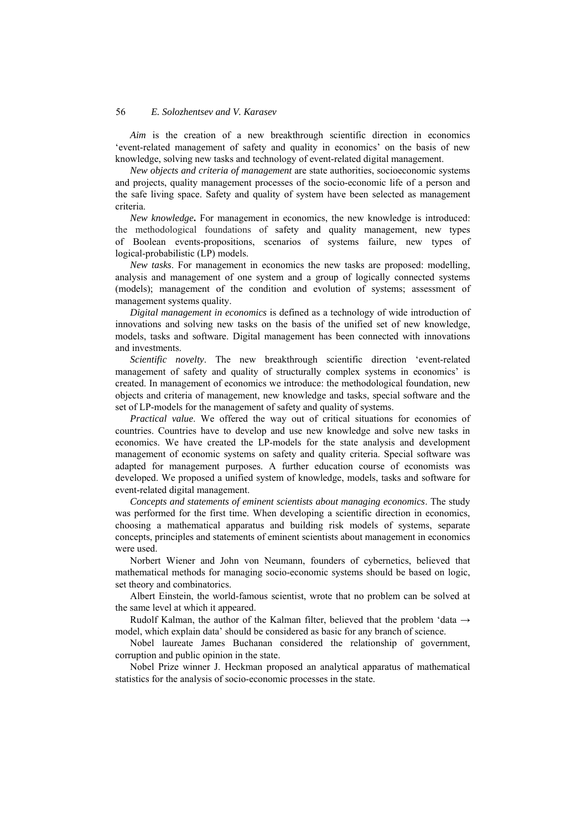*Aim* is the creation of a new breakthrough scientific direction in economics 'event-related management of safety and quality in economics' on the basis of new knowledge, solving new tasks and technology of event-related digital management.

*New objects and criteria of management* are state authorities, socioeconomic systems and projects, quality management processes of the socio-economic life of a person and the safe living space. Safety and quality of system have been selected as management criteria.

*New knowledge***.** For management in economics, the new knowledge is introduced: the methodological foundations of safety and quality management, new types of Boolean events-propositions, scenarios of systems failure, new types of logical-probabilistic (LP) models.

*New tasks*. For management in economics the new tasks are proposed: modelling, analysis and management of one system and a group of logically connected systems (models); management of the condition and evolution of systems; assessment of management systems quality.

*Digital management in economics* is defined as a technology of wide introduction of innovations and solving new tasks on the basis of the unified set of new knowledge, models, tasks and software. Digital management has been connected with innovations and investments.

*Scientific novelty*. The new breakthrough scientific direction 'event-related management of safety and quality of structurally complex systems in economics' is created. In management of economics we introduce: the methodological foundation, new objects and criteria of management, new knowledge and tasks, special software and the set of LP-models for the management of safety and quality of systems.

*Practical value*. We offered the way out of critical situations for economies of countries. Countries have to develop and use new knowledge and solve new tasks in economics. We have created the LP-models for the state analysis and development management of economic systems on safety and quality criteria. Special software was adapted for management purposes. A further education course of economists was developed. We proposed a unified system of knowledge, models, tasks and software for event-related digital management.

*Concepts and statements of eminent scientists about managing economics*. The study was performed for the first time. When developing a scientific direction in economics, choosing a mathematical apparatus and building risk models of systems, separate concepts, principles and statements of eminent scientists about management in economics were used.

Norbert Wiener and John von Neumann, founders of cybernetics, believed that mathematical methods for managing socio-economic systems should be based on logic, set theory and combinatorics.

Albert Einstein, the world-famous scientist, wrote that no problem can be solved at the same level at which it appeared.

Rudolf Kalman, the author of the Kalman filter, believed that the problem 'data  $\rightarrow$ model, which explain data' should be considered as basic for any branch of science.

Nobel laureate James Buchanan considered the relationship of government, corruption and public opinion in the state.

Nobel Prize winner J. Heckman proposed an analytical apparatus of mathematical statistics for the analysis of socio-economic processes in the state.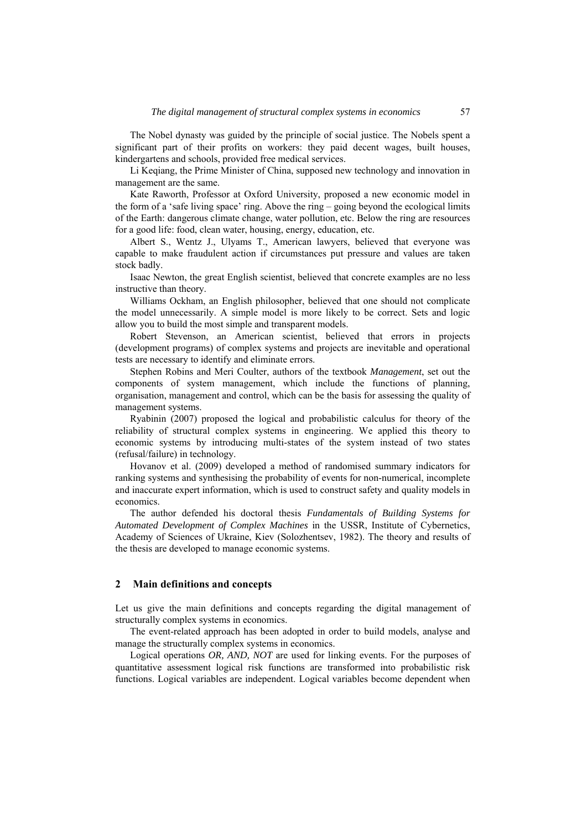The Nobel dynasty was guided by the principle of social justice. The Nobels spent a significant part of their profits on workers: they paid decent wages, built houses, kindergartens and schools, provided free medical services.

Li Keqiang, the Prime Minister of China, supposed new technology and innovation in management are the same.

Kate Raworth, Professor at Oxford University, proposed a new economic model in the form of a 'safe living space' ring. Above the ring – going beyond the ecological limits of the Earth: dangerous climate change, water pollution, etc. Below the ring are resources for a good life: food, clean water, housing, energy, education, etc.

Albert S., Wentz J., Ulyams T., American lawyers, believed that everyone was capable to make fraudulent action if circumstances put pressure and values are taken stock badly.

Isaac Newton, the great English scientist, believed that concrete examples are no less instructive than theory.

Williams Ockham, an English philosopher, believed that one should not complicate the model unnecessarily. A simple model is more likely to be correct. Sets and logic allow you to build the most simple and transparent models.

Robert Stevenson, an American scientist, believed that errors in projects (development programs) of complex systems and projects are inevitable and operational tests are necessary to identify and eliminate errors.

Stephen Robins and Meri Coulter, authors of the textbook *Management*, set out the components of system management, which include the functions of planning, organisation, management and control, which can be the basis for assessing the quality of management systems.

Ryabinin (2007) proposed the logical and probabilistic calculus for theory of the reliability of structural complex systems in engineering. We applied this theory to economic systems by introducing multi-states of the system instead of two states (refusal/failure) in technology.

Hovanov et al. (2009) developed a method of randomised summary indicators for ranking systems and synthesising the probability of events for non-numerical, incomplete and inaccurate expert information, which is used to construct safety and quality models in economics.

The author defended his doctoral thesis *Fundamentals of Building Systems for Automated Development of Complex Machines* in the USSR, Institute of Cybernetics, Academy of Sciences of Ukraine, Kiev (Solozhentsev, 1982). The theory and results of the thesis are developed to manage economic systems.

#### **2 Main definitions and concepts**

Let us give the main definitions and concepts regarding the digital management of structurally complex systems in economics.

The event-related approach has been adopted in order to build models, analyse and manage the structurally complex systems in economics.

Logical operations *OR, AND, NOT* are used for linking events. For the purposes of quantitative assessment logical risk functions are transformed into probabilistic risk functions. Logical variables are independent. Logical variables become dependent when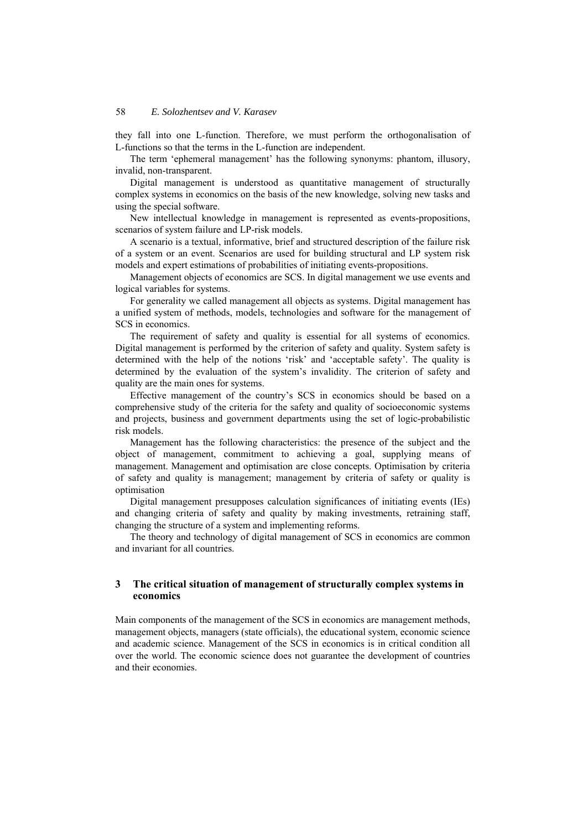they fall into one L-function. Therefore, we must perform the orthogonalisation of L-functions so that the terms in the L-function are independent.

The term 'ephemeral management' has the following synonyms: phantom, illusory, invalid, non-transparent.

Digital management is understood as quantitative management of structurally complex systems in economics on the basis of the new knowledge, solving new tasks and using the special software.

New intellectual knowledge in management is represented as events-propositions, scenarios of system failure and LP-risk models.

A scenario is a textual, informative, brief and structured description of the failure risk of a system or an event. Scenarios are used for building structural and LP system risk models and expert estimations of probabilities of initiating events-propositions.

Management objects of economics are SCS. In digital management we use events and logical variables for systems.

For generality we called management all objects as systems. Digital management has a unified system of methods, models, technologies and software for the management of SCS in economics.

The requirement of safety and quality is essential for all systems of economics. Digital management is performed by the criterion of safety and quality. System safety is determined with the help of the notions 'risk' and 'acceptable safety'. The quality is determined by the evaluation of the system's invalidity. The criterion of safety and quality are the main ones for systems.

Effective management of the country's SCS in economics should be based on a comprehensive study of the criteria for the safety and quality of socioeconomic systems and projects, business and government departments using the set of logic-probabilistic risk models.

Management has the following characteristics: the presence of the subject and the object of management, commitment to achieving a goal, supplying means of management. Management and optimisation are close concepts. Optimisation by criteria of safety and quality is management; management by criteria of safety or quality is optimisation

Digital management presupposes calculation significances of initiating events (IEs) and changing criteria of safety and quality by making investments, retraining staff, changing the structure of a system and implementing reforms.

The theory and technology of digital management of SCS in economics are common and invariant for all countries.

## **3 The critical situation of management of structurally complex systems in economics**

Main components of the management of the SCS in economics are management methods, management objects, managers (state officials), the educational system, economic science and academic science. Management of the SCS in economics is in critical condition all over the world. The economic science does not guarantee the development of countries and their economies.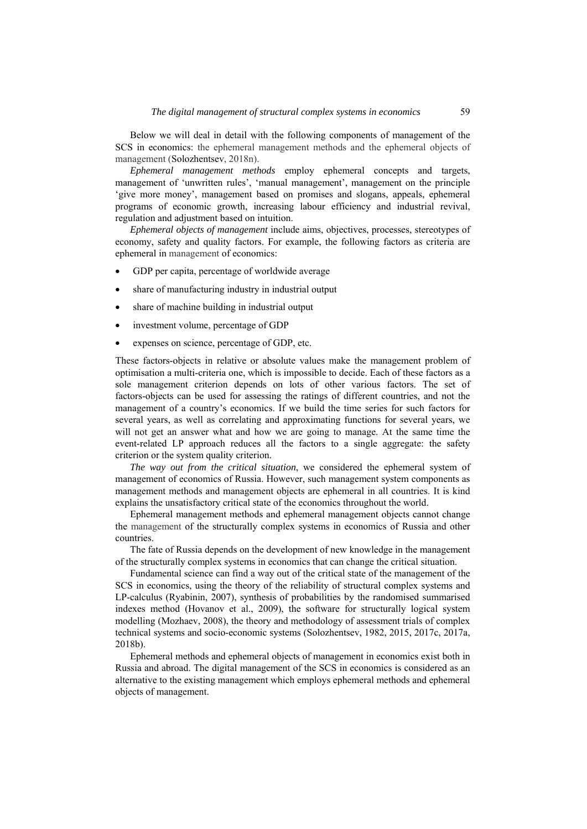Below we will deal in detail with the following components of management of the SCS in economics: the ephemeral management methods and the ephemeral objects of management (Solozhentsev, 2018n).

*Ephemeral management methods* employ ephemeral concepts and targets, management of 'unwritten rules', 'manual management', management on the principle 'give more money', management based on promises and slogans, appeals, ephemeral programs of economic growth, increasing labour efficiency and industrial revival, regulation and adjustment based on intuition.

*Ephemeral objects of management* include aims, objectives, processes, stereotypes of economy, safety and quality factors. For example, the following factors as criteria are ephemeral in management of economics:

- GDP per capita, percentage of worldwide average
- share of manufacturing industry in industrial output
- share of machine building in industrial output
- investment volume, percentage of GDP
- expenses on science, percentage of GDP, etc.

These factors-objects in relative or absolute values make the management problem of optimisation a multi-criteria one, which is impossible to decide. Each of these factors as a sole management criterion depends on lots of other various factors. The set of factors-objects can be used for assessing the ratings of different countries, and not the management of a country's economics. If we build the time series for such factors for several years, as well as correlating and approximating functions for several years, we will not get an answer what and how we are going to manage. At the same time the event-related LP approach reduces all the factors to a single aggregate: the safety criterion or the system quality criterion.

*The way out from the critical situation*, we considered the ephemeral system of management of economics of Russia. However, such management system components as management methods and management objects are ephemeral in all countries. It is kind explains the unsatisfactory critical state of the economics throughout the world.

Ephemeral management methods and ephemeral management objects cannot change the management of the structurally complex systems in economics of Russia and other countries.

The fate of Russia depends on the development of new knowledge in the management of the structurally complex systems in economics that can change the critical situation.

Fundamental science can find a way out of the critical state of the management of the SCS in economics, using the theory of the reliability of structural complex systems and LP-calculus (Ryabinin, 2007), synthesis of probabilities by the randomised summarised indexes method (Hovanov et al., 2009), the software for structurally logical system modelling (Mozhaev, 2008), the theory and methodology of assessment trials of complex technical systems and socio-economic systems (Solozhentsev, 1982, 2015, 2017c, 2017a, 2018b).

Ephemeral methods and ephemeral objects of management in economics exist both in Russia and abroad. The digital management of the SCS in economics is considered as an alternative to the existing management which employs ephemeral methods and ephemeral objects of management.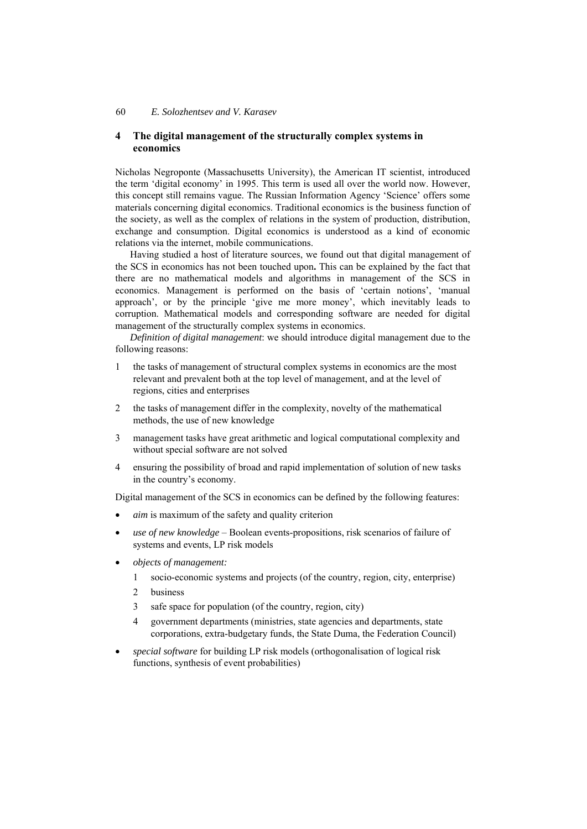## **4 The digital management of the structurally complex systems in economics**

Nicholas Negroponte (Massachusetts University), the American IT scientist, introduced the term 'digital economy' in 1995. This term is used all over the world now. However, this concept still remains vague. The Russian Information Agency 'Science' offers some materials concerning digital economics. Traditional economics is the business function of the society, as well as the complex of relations in the system of production, distribution, exchange and consumption. Digital economics is understood as a kind of economic relations via the internet, mobile communications.

Having studied a host of literature sources, we found out that digital management of the SCS in economics has not been touched upon**.** This can be explained by the fact that there are no mathematical models and algorithms in management of the SCS in economics. Management is performed on the basis of 'certain notions', 'manual approach', or by the principle 'give me more money', which inevitably leads to corruption. Mathematical models and corresponding software are needed for digital management of the structurally complex systems in economics.

*Definition of digital management*: we should introduce digital management due to the following reasons:

- 1 the tasks of management of structural complex systems in economics are the most relevant and prevalent both at the top level of management, and at the level of regions, cities and enterprises
- 2 the tasks of management differ in the complexity, novelty of the mathematical methods, the use of new knowledge
- 3 management tasks have great arithmetic and logical computational complexity and without special software are not solved
- 4 ensuring the possibility of broad and rapid implementation of solution of new tasks in the country's economy.

Digital management of the SCS in economics can be defined by the following features:

- *aim* is maximum of the safety and quality criterion
- *use of new knowledge* Boolean events-propositions, risk scenarios of failure of systems and events, LP risk models
- *objects of management:*
	- 1 socio-economic systems and projects (of the country, region, city, enterprise)
	- 2 business
	- 3 safe space for population (of the country, region, city)
	- 4 government departments (ministries, state agencies and departments, state corporations, extra-budgetary funds, the State Duma, the Federation Council)
- *special software* for building LP risk models (orthogonalisation of logical risk functions, synthesis of event probabilities)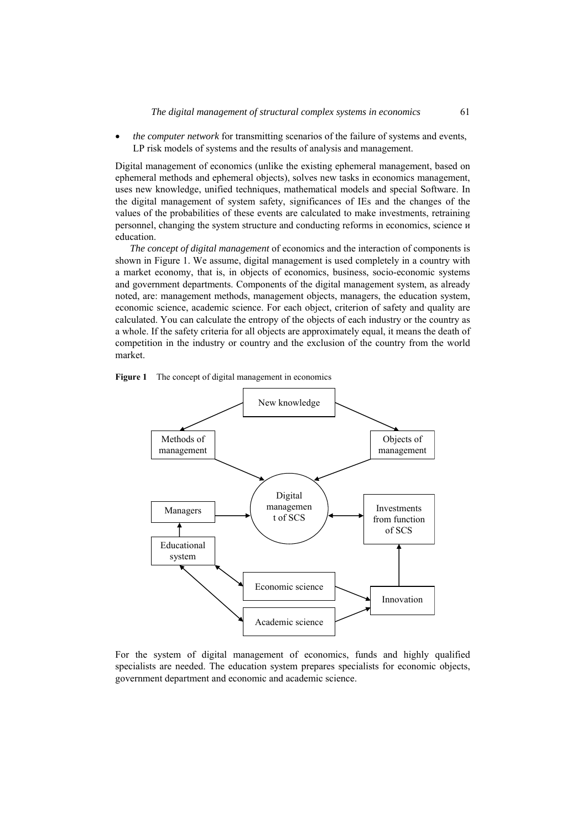*the computer network* for transmitting scenarios of the failure of systems and events, LP risk models of systems and the results of analysis and management.

Digital management of economics (unlike the existing ephemeral management, based on ephemeral methods and ephemeral objects), solves new tasks in economics management, uses new knowledge, unified techniques, mathematical models and special Software. In the digital management of system safety, significances of IEs and the changes of the values of the probabilities of these events are calculated to make investments, retraining personnel, changing the system structure and conducting reforms in economics, science и education.

*The concept of digital management* of economics and the interaction of components is shown in Figure 1. We assume, digital management is used completely in a country with a market economy, that is, in objects of economics, business, socio-economic systems and government departments. Components of the digital management system, as already noted, are: management methods, management objects, managers, the education system, economic science, academic science. For each object, criterion of safety and quality are calculated. You can calculate the entropy of the objects of each industry or the country as a whole. If the safety criteria for all objects are approximately equal, it means the death of competition in the industry or country and the exclusion of the country from the world market.



**Figure 1** The concept of digital management in economics

For the system of digital management of economics, funds and highly qualified specialists are needed. The education system prepares specialists for economic objects, government department and economic and academic science.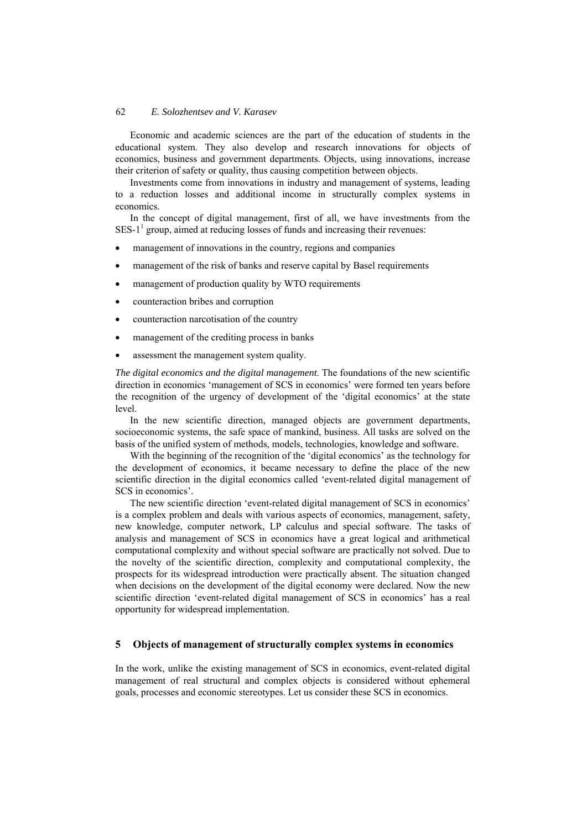Economic and academic sciences are the part of the education of students in the educational system. They also develop and research innovations for objects of economics, business and government departments. Objects, using innovations, increase their criterion of safety or quality, thus causing competition between objects.

Investments come from innovations in industry and management of systems, leading to a reduction losses and additional income in structurally complex systems in economics.

In the concept of digital management, first of all, we have investments from the  $SES-1<sup>1</sup>$  group, aimed at reducing losses of funds and increasing their revenues:

- management of innovations in the country, regions and companies
- management of the risk of banks and reserve capital by Basel requirements
- management of production quality by WTO requirements
- counteraction bribes and corruption
- counteraction narcotisation of the country
- management of the crediting process in banks
- assessment the management system quality.

*The digital economics and the digital management*. The foundations of the new scientific direction in economics 'management of SCS in economics' were formed ten years before the recognition of the urgency of development of the 'digital economics' at the state level.

In the new scientific direction, managed objects are government departments, socioeconomic systems, the safe space of mankind, business. All tasks are solved on the basis of the unified system of methods, models, technologies, knowledge and software.

With the beginning of the recognition of the 'digital economics' as the technology for the development of economics, it became necessary to define the place of the new scientific direction in the digital economics called 'event-related digital management of SCS in economics'.

The new scientific direction 'event-related digital management of SCS in economics' is a complex problem and deals with various aspects of economics, management, safety, new knowledge, computer network, LP calculus and special software. The tasks of analysis and management of SCS in economics have a great logical and arithmetical computational complexity and without special software are practically not solved. Due to the novelty of the scientific direction, complexity and computational complexity, the prospects for its widespread introduction were practically absent. The situation changed when decisions on the development of the digital economy were declared. Now the new scientific direction 'event-related digital management of SCS in economics' has a real opportunity for widespread implementation.

## **5 Objects of management of structurally complex systems in economics**

In the work, unlike the existing management of SCS in economics, event-related digital management of real structural and complex objects is considered without ephemeral goals, processes and economic stereotypes. Let us consider these SCS in economics.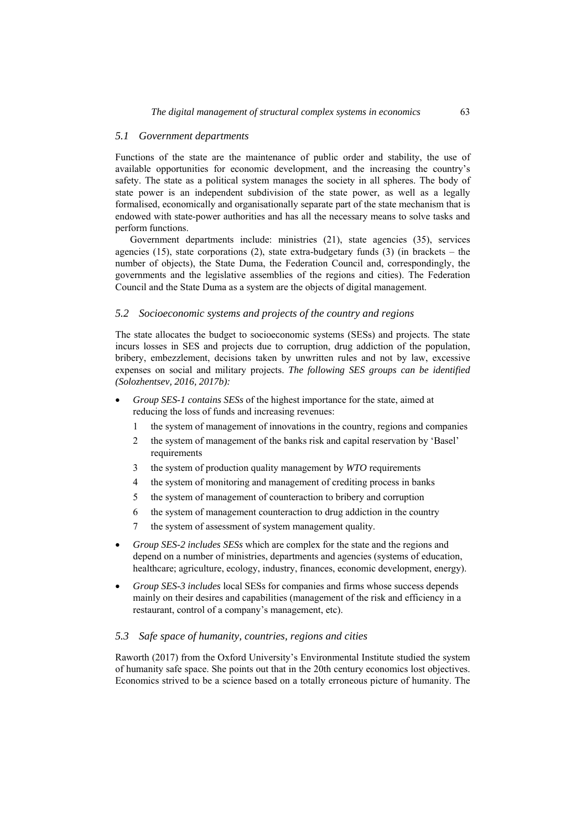## *5.1 Government departments*

Functions of the state are the maintenance of public order and stability, the use of available opportunities for economic development, and the increasing the country's safety. The state as a political system manages the society in all spheres. The body of state power is an independent subdivision of the state power, as well as a legally formalised, economically and organisationally separate part of the state mechanism that is endowed with state-power authorities and has all the necessary means to solve tasks and perform functions.

Government departments include: ministries (21), state agencies (35), services agencies  $(15)$ , state corporations  $(2)$ , state extra-budgetary funds  $(3)$  (in brackets – the number of objects), the State Duma, the Federation Council and, correspondingly, the governments and the legislative assemblies of the regions and cities). The Federation Council and the State Duma as a system are the objects of digital management.

#### *5.2 Socioeconomic systems and projects of the country and regions*

The state allocates the budget to socioeconomic systems (SESs) and projects. The state incurs losses in SES and projects due to corruption, drug addiction of the population, bribery, embezzlement, decisions taken by unwritten rules and not by law, excessive expenses on social and military projects. *The following SES groups can be identified (Solozhentsev, 2016, 2017b):*

- *Group SES-1 contains SESs* of the highest importance for the state, aimed at reducing the loss of funds and increasing revenues:
	- 1 the system of management of innovations in the country, regions and companies
	- 2 the system of management of the banks risk and capital reservation by 'Basel' requirements
	- 3 the system of production quality management by *WTO* requirements
	- 4 the system of monitoring and management of crediting process in banks
	- 5 the system of management of counteraction to bribery and corruption
	- 6 the system of management counteraction to drug addiction in the country
	- 7 the system of assessment of system management quality.
- *Group SES-2 includes SESs* which are complex for the state and the regions and depend on a number of ministries, departments and agencies (systems of education, healthcare; agriculture, ecology, industry, finances, economic development, energy).
- *Group SES-3 includes* local SESs for companies and firms whose success depends mainly on their desires and capabilities (management of the risk and efficiency in a restaurant, control of a company's management, etc).

#### *5.3 Safe space of humanity, countries, regions and cities*

Raworth (2017) from the Oxford University's Environmental Institute studied the system of humanity safe space. She points out that in the 20th century economics lost objectives. Economics strived to be a science based on a totally erroneous picture of humanity. The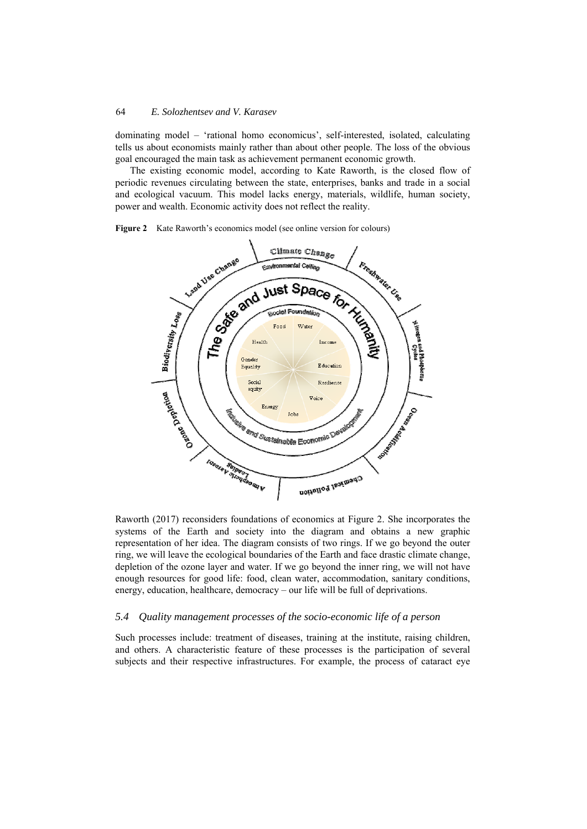dominating model – 'rational homo economicus', self-interested, isolated, calculating tells us about economists mainly rather than about other people. The loss of the obvious goal encouraged the main task as achievement permanent economic growth.

The existing economic model, according to Kate Raworth, is the closed flow of periodic revenues circulating between the state, enterprises, banks and trade in a social and ecological vacuum. This model lacks energy, materials, wildlife, human society, power and wealth. Economic activity does not reflect the reality.

**Figure 2** Kate Raworth's economics model (see online version for colours)



Raworth (2017) reconsiders foundations of economics at Figure 2. She incorporates the systems of the Earth and society into the diagram and obtains a new graphic representation of her idea. The diagram consists of two rings. If we go beyond the outer ring, we will leave the ecological boundaries of the Earth and face drastic climate change, depletion of the ozone layer and water. If we go beyond the inner ring, we will not have enough resources for good life: food, clean water, accommodation, sanitary conditions, energy, education, healthcare, democracy – our life will be full of deprivations.

#### *5.4 Quality management processes of the socio-economic life of a person*

Such processes include: treatment of diseases, training at the institute, raising children, and others. A characteristic feature of these processes is the participation of several subjects and their respective infrastructures. For example, the process of cataract eye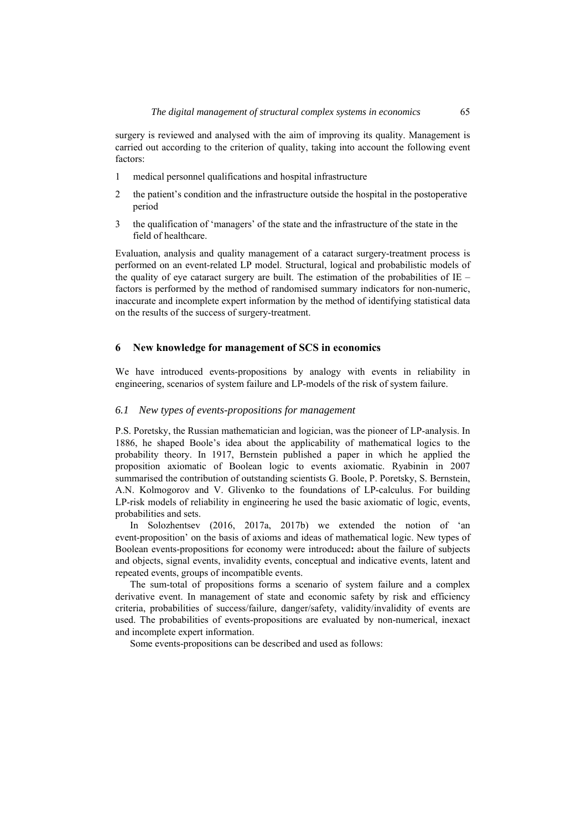surgery is reviewed and analysed with the aim of improving its quality. Management is carried out according to the criterion of quality, taking into account the following event factors:

- 1 medical personnel qualifications and hospital infrastructure
- 2 the patient's condition and the infrastructure outside the hospital in the postoperative period
- 3 the qualification of 'managers' of the state and the infrastructure of the state in the field of healthcare.

Evaluation, analysis and quality management of a cataract surgery-treatment process is performed on an event-related LP model. Structural, logical and probabilistic models of the quality of eye cataract surgery are built. The estimation of the probabilities of IE – factors is performed by the method of randomised summary indicators for non-numeric, inaccurate and incomplete expert information by the method of identifying statistical data on the results of the success of surgery-treatment.

## **6 New knowledge for management of SCS in economics**

We have introduced events-propositions by analogy with events in reliability in engineering, scenarios of system failure and LP-models of the risk of system failure.

#### *6.1 New types of events-propositions for management*

P.S. Poretsky, the Russian mathematician and logician, was the pioneer of LP-analysis. In 1886, he shaped Boole's idea about the applicability of mathematical logics to the probability theory. In 1917, Bernstein published a paper in which he applied the proposition axiomatic of Boolean logic to events axiomatic. Ryabinin in 2007 summarised the contribution of outstanding scientists G. Boole, P. Poretsky, S. Bernstein, A.N. Kolmogorov and V. Glivenko to the foundations of LP-calculus. For building LP-risk models of reliability in engineering he used the basic axiomatic of logic, events, probabilities and sets.

In Solozhentsev (2016, 2017a, 2017b) we extended the notion of 'an event-proposition' on the basis of axioms and ideas of mathematical logic. New types of Boolean events-propositions for economy were introduced**:** about the failure of subjects and objects, signal events, invalidity events, conceptual and indicative events, latent and repeated events, groups of incompatible events.

The sum-total of propositions forms a scenario of system failure and a complex derivative event. In management of state and economic safety by risk and efficiency criteria, probabilities of success/failure, danger/safety, validity/invalidity of events are used. The probabilities of events-propositions are evaluated by non-numerical, inexact and incomplete expert information.

Some events-propositions can be described and used as follows: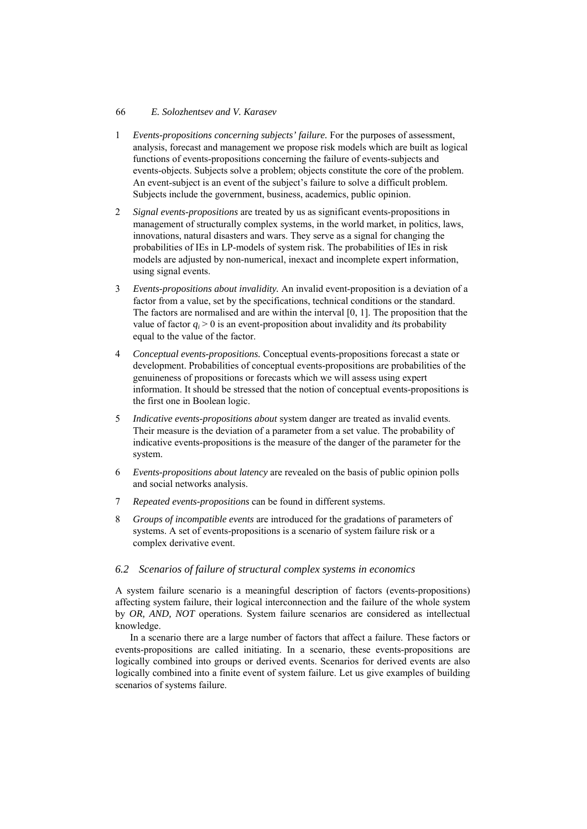### 66 *E. Solozhentsev and V. Karasev*

- 1 *Events-propositions concerning subjects' failure.* For the purposes of assessment, analysis, forecast and management we propose risk models which are built as logical functions of events-propositions concerning the failure of events-subjects and events-objects. Subjects solve a problem; objects constitute the core of the problem. An event-subject is an event of the subject's failure to solve a difficult problem. Subjects include the government, business, academics, public opinion.
- 2 *Signal events-propositions* are treated by us as significant events-propositions in management of structurally complex systems, in the world market, in politics, laws, innovations, natural disasters and wars. They serve as a signal for changing the probabilities of IEs in LP-models of system risk. The probabilities of IEs in risk models are adjusted by non-numerical, inexact and incomplete expert information, using signal events.
- 3 *Events-propositions about invalidity.* An invalid event-proposition is a deviation of a factor from a value, set by the specifications, technical conditions or the standard. The factors are normalised and are within the interval [0, 1]. The proposition that the value of factor  $q_i > 0$  is an event-proposition about invalidity and *i*ts probability equal to the value of the factor.
- 4 *Conceptual events-propositions.* Conceptual events-propositions forecast a state or development. Probabilities of conceptual events-propositions are probabilities of the genuineness of propositions or forecasts which we will assess using expert information. It should be stressed that the notion of conceptual events-propositions is the first one in Boolean logic.
- 5 *Indicative events-propositions about* system danger are treated as invalid events. Their measure is the deviation of a parameter from a set value. The probability of indicative events-propositions is the measure of the danger of the parameter for the system.
- 6 *Events-propositions about latency* are revealed on the basis of public opinion polls and social networks analysis.
- 7 *Repeated events-propositions* can be found in different systems.
- 8 *Groups of incompatible events* are introduced for the gradations of parameters of systems. A set of events-propositions is a scenario of system failure risk or a complex derivative event.

## *6.2 Scenarios of failure of structural complex systems in economics*

A system failure scenario is a meaningful description of factors (events-propositions) affecting system failure, their logical interconnection and the failure of the whole system by *OR, AND, NOT* operations. System failure scenarios are considered as intellectual knowledge.

In a scenario there are a large number of factors that affect a failure. These factors or events-propositions are called initiating. In a scenario, these events-propositions are logically combined into groups or derived events. Scenarios for derived events are also logically combined into a finite event of system failure. Let us give examples of building scenarios of systems failure.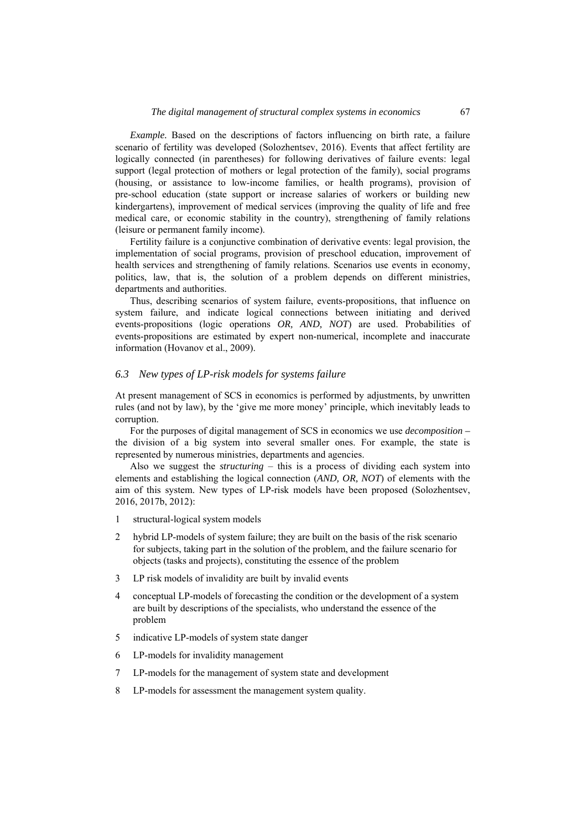*Example.* Based on the descriptions of factors influencing on birth rate, a failure scenario of fertility was developed (Solozhentsev, 2016). Events that affect fertility are logically connected (in parentheses) for following derivatives of failure events: legal support (legal protection of mothers or legal protection of the family), social programs (housing, or assistance to low-income families, or health programs), provision of pre-school education (state support or increase salaries of workers or building new kindergartens), improvement of medical services (improving the quality of life and free medical care, or economic stability in the country), strengthening of family relations (leisure or permanent family income).

Fertility failure is a conjunctive combination of derivative events: legal provision, the implementation of social programs, provision of preschool education, improvement of health services and strengthening of family relations. Scenarios use events in economy, politics, law, that is, the solution of a problem depends on different ministries, departments and authorities.

Thus, describing scenarios of system failure, events-propositions, that influence on system failure, and indicate logical connections between initiating and derived events-propositions (logic operations *OR, AND, NOT*) are used. Probabilities of events-propositions are estimated by expert non-numerical, incomplete and inaccurate information (Hovanov et al., 2009).

#### *6.3 New types of LP-risk models for systems failure*

At present management of SCS in economics is performed by adjustments, by unwritten rules (and not by law), by the 'give me more money' principle, which inevitably leads to corruption.

For the purposes of digital management of SCS in economics we use *decomposition –* the division of a big system into several smaller ones. For example, the state is represented by numerous ministries, departments and agencies.

Also we suggest the *structuring* – this is a process of dividing each system into elements and establishing the logical connection (*AND, OR, NOT*) of elements with the aim of this system. New types of LP-risk models have been proposed (Solozhentsev, 2016, 2017b, 2012):

- 1 structural-logical system models
- 2 hybrid LP-models of system failure; they are built on the basis of the risk scenario for subjects, taking part in the solution of the problem, and the failure scenario for objects (tasks and projects), constituting the essence of the problem
- 3 LP risk models of invalidity are built by invalid events
- 4 conceptual LP-models of forecasting the condition or the development of a system are built by descriptions of the specialists, who understand the essence of the problem
- 5 indicative LP-models of system state danger
- 6 LP-models for invalidity management
- 7 LP-models for the management of system state and development
- 8 LP-models for assessment the management system quality.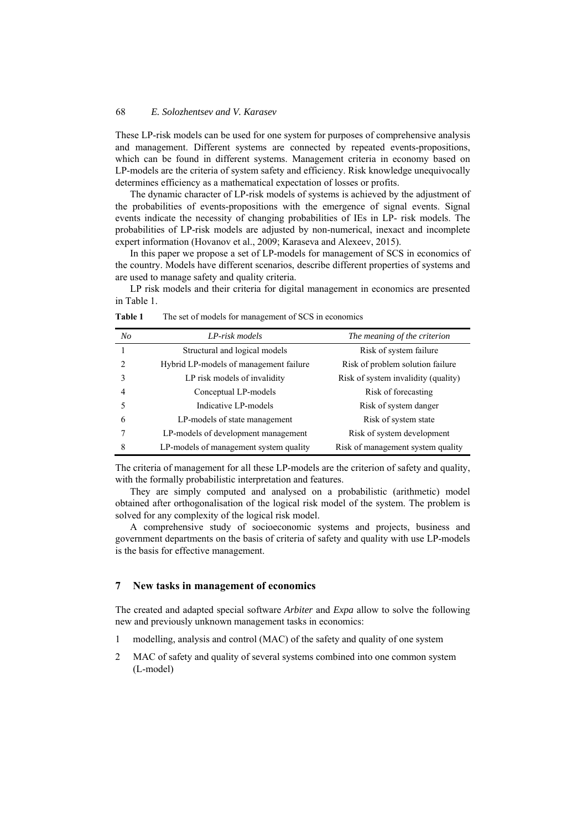These LP-risk models can be used for one system for purposes of comprehensive analysis and management. Different systems are connected by repeated events-propositions, which can be found in different systems. Management criteria in economy based on LP-models are the criteria of system safety and efficiency. Risk knowledge unequivocally determines efficiency as a mathematical expectation of losses or profits.

The dynamic character of LP-risk models of systems is achieved by the adjustment of the probabilities of events-propositions with the emergence of signal events. Signal events indicate the necessity of changing probabilities of IEs in LP- risk models. The probabilities of LP-risk models are adjusted by non-numerical, inexact and incomplete expert information (Hovanov et al., 2009; Karaseva and Alexeev, 2015).

In this paper we propose a set of LP-models for management of SCS in economics of the country. Models have different scenarios, describe different properties of systems and are used to manage safety and quality criteria.

LP risk models and their criteria for digital management in economics are presented in Table 1.

| No             | LP-risk models                         | The meaning of the criterion        |
|----------------|----------------------------------------|-------------------------------------|
|                | Structural and logical models          | Risk of system failure              |
| $\mathcal{P}$  | Hybrid LP-models of management failure | Risk of problem solution failure    |
| 3              | LP risk models of invalidity           | Risk of system invalidity (quality) |
| $\overline{4}$ | Conceptual LP-models                   | Risk of forecasting                 |
|                | Indicative LP-models                   | Risk of system danger               |
| 6              | LP-models of state management          | Risk of system state                |
|                | LP-models of development management    | Risk of system development          |
| 8              | LP-models of management system quality | Risk of management system quality   |

Table 1 The set of models for management of SCS in economics

The criteria of management for all these LP-models are the criterion of safety and quality, with the formally probabilistic interpretation and features.

They are simply computed and analysed on a probabilistic (arithmetic) model obtained after orthogonalisation of the logical risk model of the system. The problem is solved for any complexity of the logical risk model.

A comprehensive study of socioeconomic systems and projects, business and government departments on the basis of criteria of safety and quality with use LP-models is the basis for effective management.

## **7 New tasks in management of economics**

The created and adapted special software *Arbiter* and *Expa* allow to solve the following new and previously unknown management tasks in economics:

- 1 modelling, analysis and control (MAC) of the safety and quality of one system
- 2 MAC of safety and quality of several systems combined into one common system (L-model)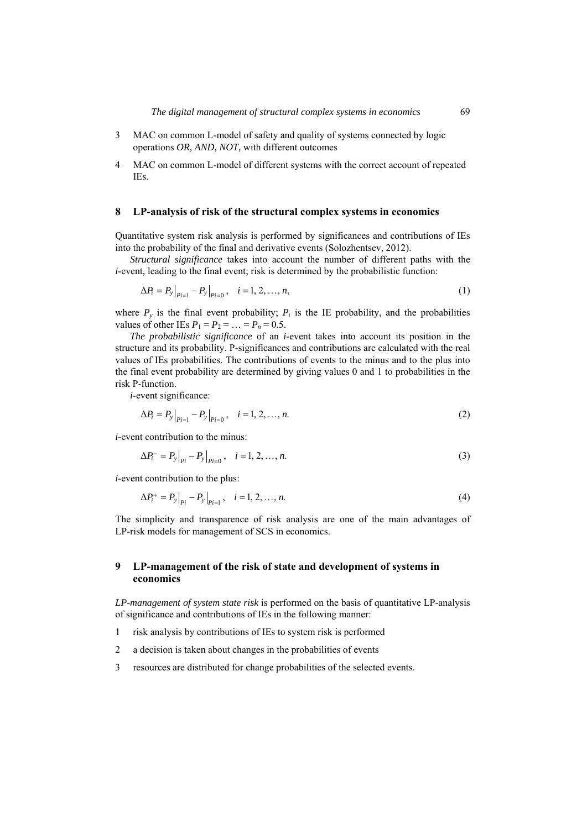- 3 MAC on common L-model of safety and quality of systems connected by logic operations *OR, AND, NOT,* with different outcomes
- 4 MAC on common L-model of different systems with the correct account of repeated IEs.

#### **8 LP-analysis of risk of the structural complex systems in economics**

Quantitative system risk analysis is performed by significances and contributions of IEs into the probability of the final and derivative events (Solozhentsev, 2012).

*Structural significance* takes into account the number of different paths with the *i*-event, leading to the final event; risk is determined by the probabilistic function:

$$
\Delta P_i = P_y \big|_{p_{i=1}} - P_y \big|_{p_{i=0}}, \quad i = 1, 2, ..., n,
$$
\n(1)

where  $P_y$  is the final event probability;  $P_i$  is the IE probability, and the probabilities values of other IEs  $P_1 = P_2 = ... = P_n = 0.5$ .

*The probabilistic significance* of an *i*-event takes into account its position in the structure and its probability. P-significances and contributions are calculated with the real values of IEs probabilities. The contributions of events to the minus and to the plus into the final event probability are determined by giving values 0 and 1 to probabilities in the risk P-function.

*i*-event significance:

$$
\Delta P_i = P_y \big|_{p_{i=1}} - P_y \big|_{p_{i=0}}, \quad i = 1, 2, ..., n. \tag{2}
$$

*i*-event contribution to the minus:

$$
\Delta P_i^- = P_y \big|_{P_i} - P_y \big|_{P_i = 0}, \quad i = 1, 2, ..., n. \tag{3}
$$

*i*-event contribution to the plus:

$$
\Delta P_i^+ = P_y \big|_{P_i} - P_y \big|_{P_i = 1}, \quad i = 1, 2, ..., n. \tag{4}
$$

The simplicity and transparence of risk analysis are one of the main advantages of LP-risk models for management of SCS in economics.

## **9 LP-management of the risk of state and development of systems in economics**

*LP-management of system state risk* is performed on the basis of quantitative LP-analysis of significance and contributions of IEs in the following manner:

- 1 risk analysis by contributions of IEs to system risk is performed
- 2 a decision is taken about changes in the probabilities of events
- 3 resources are distributed for change probabilities of the selected events.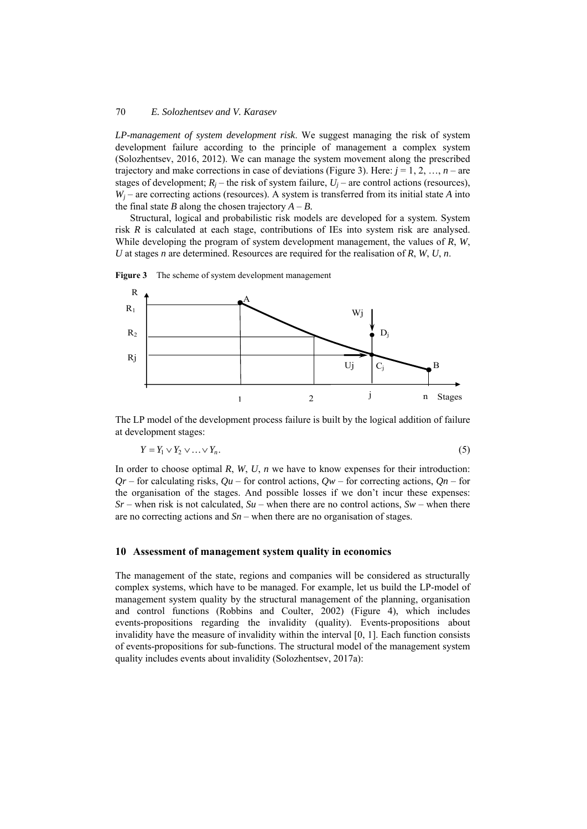*LP-management of system development risk*. We suggest managing the risk of system development failure according to the principle of management a complex system (Solozhentsev, 2016, 2012). We can manage the system movement along the prescribed trajectory and make corrections in case of deviations (Figure 3). Here:  $j = 1, 2, ..., n$  – are stages of development;  $R_i$  – the risk of system failure,  $U_i$  – are control actions (resources),  $W_i$  – are correcting actions (resources). A system is transferred from its initial state  $A$  into the final state *B* along the chosen trajectory  $A - B$ .

Structural, logical and probabilistic risk models are developed for a system. System risk *R* is calculated at each stage, contributions of IEs into system risk are analysed. While developing the program of system development management, the values of *R*, *W*, *U* at stages *n* are determined. Resources are required for the realisation of *R*, *W*, *U*, *n*.



**Figure 3** The scheme of system development management

The LP model of the development process failure is built by the logical addition of failure at development stages:

$$
Y = Y_1 \vee Y_2 \vee \ldots \vee Y_n. \tag{5}
$$

In order to choose optimal *R*, *W*, *U*, *n* we have to know expenses for their introduction:  $Qr$  – for calculating risks,  $Qu$  – for control actions,  $Qw$  – for correcting actions,  $Qn$  – for the organisation of the stages. And possible losses if we don't incur these expenses:  $Sr$  – when risk is not calculated,  $Su$  – when there are no control actions,  $Sw$  – when there are no correcting actions and *Sn* – when there are no organisation of stages.

## **10 Assessment of management system quality in economics**

The management of the state, regions and companies will be considered as structurally complex systems, which have to be managed. For example, let us build the LP-model of management system quality by the structural management of the planning, organisation and control functions (Robbins and Coulter, 2002) (Figure 4), which includes events-propositions regarding the invalidity (quality). Events-propositions about invalidity have the measure of invalidity within the interval [0, 1]. Each function consists of events-propositions for sub-functions. The structural model of the management system quality includes events about invalidity (Solozhentsev, 2017a):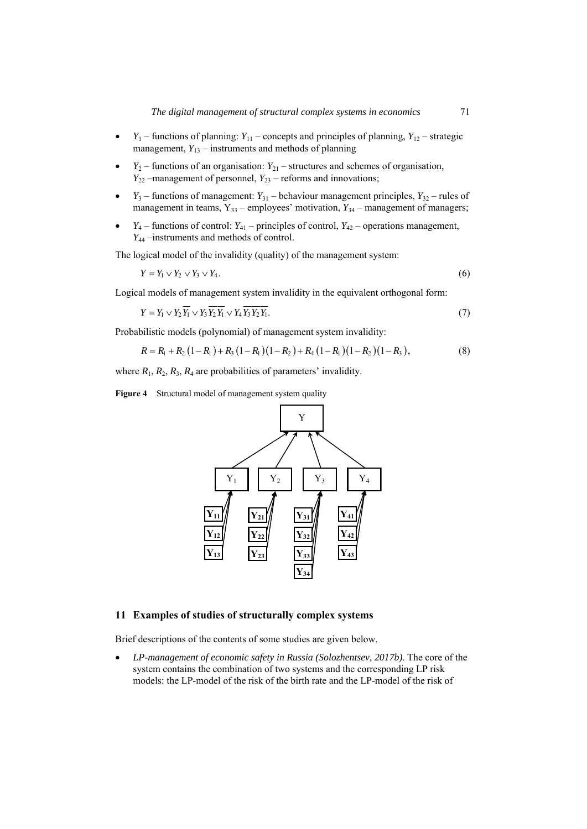- $Y_1$  functions of planning:  $Y_{11}$  concepts and principles of planning,  $Y_{12}$  strategic management,  $Y_{13}$  – instruments and methods of planning
- $Y_2$  functions of an organisation:  $Y_{21}$  structures and schemes of organisation,  $Y_{22}$  –management of personnel,  $Y_{23}$  – reforms and innovations;
- *Y*3 functions of management: *Y*31 behaviour management principles, *Y*32 rules of management in teams,  $Y_{33}$  – employees' motivation,  $Y_{34}$  – management of managers;
- *Y*4 functions of control: *Y*41 principles of control, *Y*42 operations management, *Y*<sub>44</sub> –instruments and methods of control.

The logical model of the invalidity (quality) of the management system:

$$
Y = Y_1 \vee Y_2 \vee Y_3 \vee Y_4. \tag{6}
$$

Logical models of management system invalidity in the equivalent orthogonal form:

$$
Y = Y_1 \vee Y_2 \overline{Y_1} \vee Y_3 \overline{Y_2 Y_1} \vee Y_4 \overline{Y_3 Y_2 Y_1}.
$$
 (7)

Probabilistic models (polynomial) of management system invalidity:

$$
R = R_1 + R_2 (1 - R_1) + R_3 (1 - R_1) (1 - R_2) + R_4 (1 - R_1) (1 - R_2) (1 - R_3),
$$
\n(8)

where  $R_1$ ,  $R_2$ ,  $R_3$ ,  $R_4$  are probabilities of parameters' invalidity.

**Figure 4** Structural model of management system quality



## **11 Examples of studies of structurally complex systems**

Brief descriptions of the contents of some studies are given below.

 *LP-management of economic safety in Russia (Solozhentsev, 2017b)*. The core of the system contains the combination of two systems and the corresponding LP risk models: the LP-model of the risk of the birth rate and the LP-model of the risk of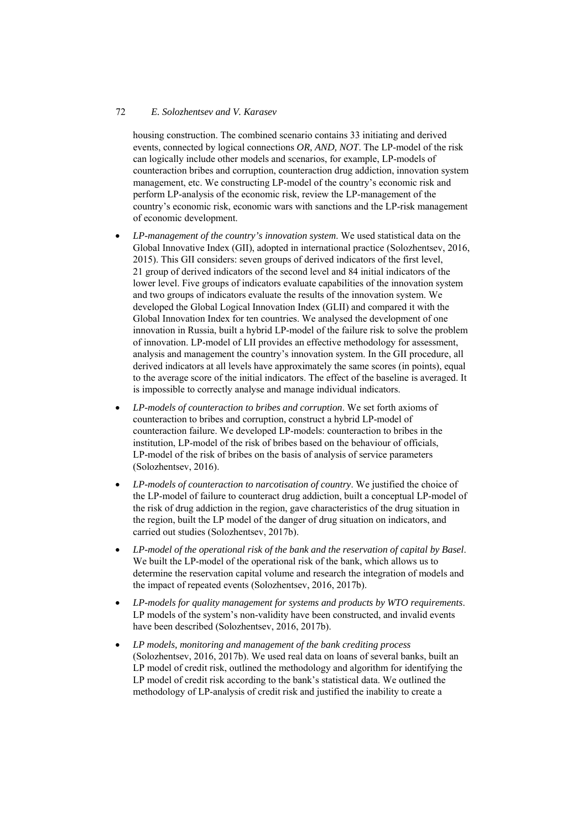## 72 *E. Solozhentsev and V. Karasev*

housing construction. The combined scenario contains 33 initiating and derived events, connected by logical connections *OR, AND, NOT*. The LP-model of the risk can logically include other models and scenarios, for example, LP-models of counteraction bribes and corruption, counteraction drug addiction, innovation system management, etc. We constructing LP-model of the country's economic risk and perform LP-analysis of the economic risk, review the LP-management of the country's economic risk, economic wars with sanctions and the LP-risk management of economic development.

- *LP-management of the country's innovation system*. We used statistical data on the Global Innovative Index (GII), adopted in international practice (Solozhentsev, 2016, 2015). This GII considers: seven groups of derived indicators of the first level, 21 group of derived indicators of the second level and 84 initial indicators of the lower level. Five groups of indicators evaluate capabilities of the innovation system and two groups of indicators evaluate the results of the innovation system. We developed the Global Logical Innovation Index (GLII) and compared it with the Global Innovation Index for ten countries. We analysed the development of one innovation in Russia, built a hybrid LP-model of the failure risk to solve the problem of innovation. LP-model of LII provides an effective methodology for assessment, analysis and management the country's innovation system. In the GII procedure, all derived indicators at all levels have approximately the same scores (in points), equal to the average score of the initial indicators. The effect of the baseline is averaged. It is impossible to correctly analyse and manage individual indicators.
- *LP-models of counteraction to bribes and corruption*. We set forth axioms of counteraction to bribes and corruption, construct a hybrid LP-model of counteraction failure. We developed LP-models: counteraction to bribes in the institution, LP-model of the risk of bribes based on the behaviour of officials, LP-model of the risk of bribes on the basis of analysis of service parameters (Solozhentsev, 2016).
- *LP-models of counteraction to narcotisation of country*. We justified the choice of the LP-model of failure to counteract drug addiction, built a conceptual LP-model of the risk of drug addiction in the region, gave characteristics of the drug situation in the region, built the LP model of the danger of drug situation on indicators, and carried out studies (Solozhentsev, 2017b).
- *LP-model of the operational risk of the bank and the reservation of capital by Basel*. We built the LP-model of the operational risk of the bank, which allows us to determine the reservation capital volume and research the integration of models and the impact of repeated events (Solozhentsev, 2016, 2017b).
- *LP-models for quality management for systems and products by WTO requirements*. LP models of the system's non-validity have been constructed, and invalid events have been described (Solozhentsev, 2016, 2017b).
- *LP models, monitoring and management of the bank crediting process* (Solozhentsev, 2016, 2017b). We used real data on loans of several banks, built an LP model of credit risk, outlined the methodology and algorithm for identifying the LP model of credit risk according to the bank's statistical data. We outlined the methodology of LP-analysis of credit risk and justified the inability to create a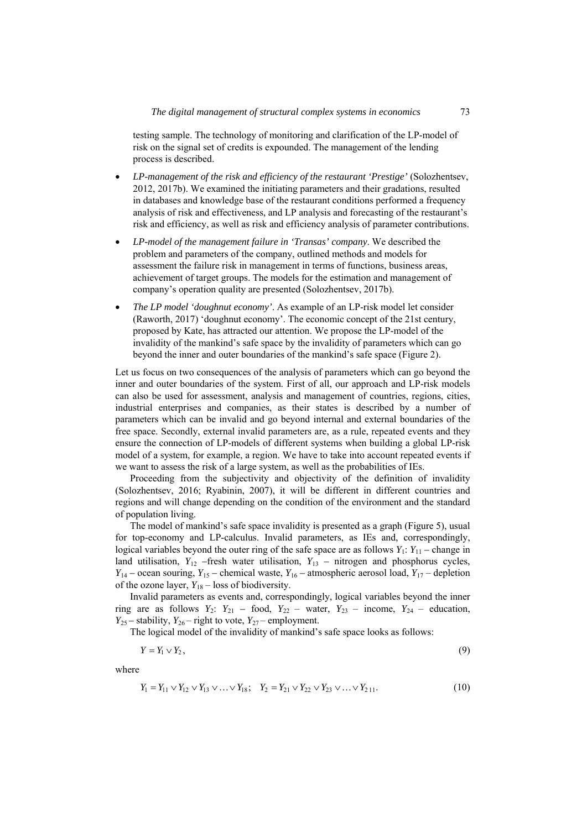testing sample. The technology of monitoring and clarification of the LP-model of risk on the signal set of credits is expounded. The management of the lending process is described.

- *LP-management of the risk and efficiency of the restaurant 'Prestige'* (Solozhentsev, 2012, 2017b). We examined the initiating parameters and their gradations, resulted in databases and knowledge base of the restaurant conditions performed a frequency analysis of risk and effectiveness, and LP analysis and forecasting of the restaurant's risk and efficiency, as well as risk and efficiency analysis of parameter contributions.
- *LP-model of the management failure in 'Transas' company*. We described the problem and parameters of the company, outlined methods and models for assessment the failure risk in management in terms of functions, business areas, achievement of target groups. The models for the estimation and management of company's operation quality are presented (Solozhentsev, 2017b).
- *The LP model 'doughnut economy'*. As example of an LP-risk model let consider (Raworth, 2017) 'doughnut economy'. The economic concept of the 21st century, proposed by Kate, has attracted our attention. We propose the LP-model of the invalidity of the mankind's safe space by the invalidity of parameters which can go beyond the inner and outer boundaries of the mankind's safe space (Figure 2).

Let us focus on two consequences of the analysis of parameters which can go beyond the inner and outer boundaries of the system. First of all, our approach and LP-risk models can also be used for assessment, analysis and management of countries, regions, cities, industrial enterprises and companies, as their states is described by a number of parameters which can be invalid and go beyond internal and external boundaries of the free space. Secondly, external invalid parameters are, as a rule, repeated events and they ensure the connection of LP-models of different systems when building a global LP-risk model of a system, for example, a region. We have to take into account repeated events if we want to assess the risk of a large system, as well as the probabilities of IEs.

Proceeding from the subjectivity and objectivity of the definition of invalidity (Solozhentsev, 2016; Ryabinin, 2007), it will be different in different countries and regions and will change depending on the condition of the environment and the standard of population living.

The model of mankind's safe space invalidity is presented as a graph (Figure 5), usual for top-economy and LP-calculus. Invalid parameters, as IEs and, correspondingly, logical variables beyond the outer ring of the safe space are as follows  $Y_1: Y_{11}$  – change in land utilisation,  $Y_{12}$  –fresh water utilisation,  $Y_{13}$  – nitrogen and phosphorus cycles,  $Y_{14}$  – ocean souring,  $Y_{15}$  – chemical waste,  $Y_{16}$  – atmospheric aerosol load,  $Y_{17}$  – depletion of the ozone layer,  $Y_{18}$  – loss of biodiversity.

Invalid parameters as events and, correspondingly, logical variables beyond the inner ring are as follows  $Y_2$ :  $Y_{21}$  – food,  $Y_{22}$  – water,  $Y_{23}$  – income,  $Y_{24}$  – education,  $Y_{25}$  – stability,  $Y_{26}$  – right to vote,  $Y_{27}$  – employment.

The logical model of the invalidity of mankind's safe space looks as follows:

$$
Y = Y_1 \vee Y_2,\tag{9}
$$

where

$$
Y_1 = Y_{11} \vee Y_{12} \vee Y_{13} \vee \dots \vee Y_{18}; \quad Y_2 = Y_{21} \vee Y_{22} \vee Y_{23} \vee \dots \vee Y_{211}. \tag{10}
$$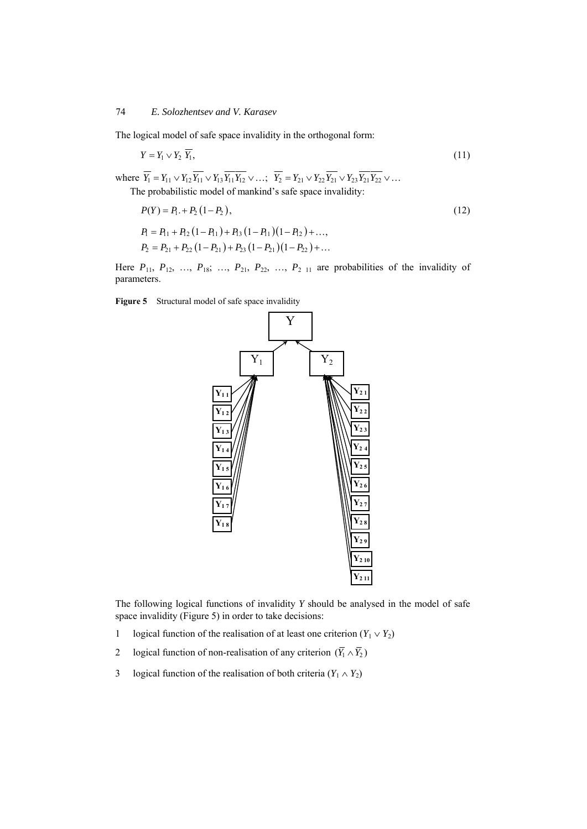The logical model of safe space invalidity in the orthogonal form:

$$
Y = Y_1 \vee Y_2 \overline{Y_1},\tag{11}
$$

where  $\overline{Y_1} = Y_{11} \vee Y_{12} \overline{Y_{11}} \vee Y_{13} \overline{Y_{11} Y_{12}} \vee ...; \overline{Y_2} = Y_{21} \vee Y_{22} \overline{Y_{21}} \vee Y_{23} \overline{Y_{21} Y_{22}} \vee ...$ The probabilistic model of mankind's safe space invalidity:

$$
P(Y) = P_1 + P_2 (1 - P_2),
$$
  
\n
$$
P_1 = P_{11} + P_{12} (1 - P_{11}) + P_{13} (1 - P_{11}) (1 - P_{12}) + ...,
$$
  
\n
$$
P_2 = P_{21} + P_{22} (1 - P_{21}) + P_{23} (1 - P_{21}) (1 - P_{22}) + ...
$$
\n(12)

Here  $P_{11}$ ,  $P_{12}$ , ...,  $P_{18}$ ; ...,  $P_{21}$ ,  $P_{22}$ , ...,  $P_{21}$  are probabilities of the invalidity of parameters.

**Figure 5** Structural model of safe space invalidity



The following logical functions of invalidity *Y* should be analysed in the model of safe space invalidity (Figure 5) in order to take decisions:

- 1 logical function of the realisation of at least one criterion  $(Y_1 \vee Y_2)$
- 2 logical function of non-realisation of any criterion  $(\overline{Y}_1 \wedge \overline{Y}_2)$
- 3 logical function of the realisation of both criteria  $(Y_1 \wedge Y_2)$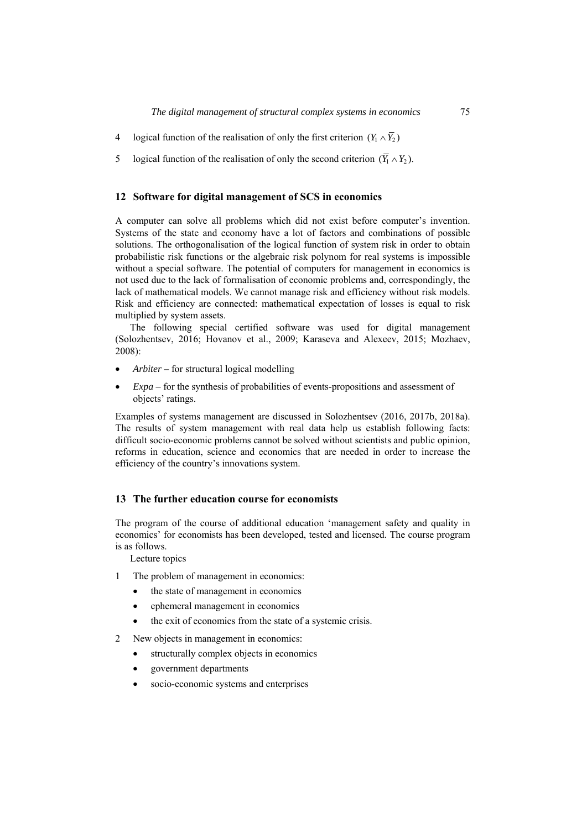- 4 logical function of the realisation of only the first criterion  $(Y_1 \wedge \overline{Y_2})$
- 5 logical function of the realisation of only the second criterion  $(\overline{Y}_1 \wedge Y_2)$ .

## **12 Software for digital management of SCS in economics**

A computer can solve all problems which did not exist before computer's invention. Systems of the state and economy have a lot of factors and combinations of possible solutions. The orthogonalisation of the logical function of system risk in order to obtain probabilistic risk functions or the algebraic risk polynom for real systems is impossible without a special software. The potential of computers for management in economics is not used due to the lack of formalisation of economic problems and, correspondingly, the lack of mathematical models. We cannot manage risk and efficiency without risk models. Risk and efficiency are connected: mathematical expectation of losses is equal to risk multiplied by system assets.

The following special certified software was used for digital management (Solozhentsev, 2016; Hovanov et al., 2009; Karaseva and Alexeev, 2015; Mozhaev, 2008):

- *Arbiter –* for structural logical modelling
- *Expa* for the synthesis of probabilities of events-propositions and assessment of objects' ratings.

Examples of systems management are discussed in Solozhentsev (2016, 2017b, 2018a). The results of system management with real data help us establish following facts: difficult socio-economic problems cannot be solved without scientists and public opinion, reforms in education, science and economics that are needed in order to increase the efficiency of the country's innovations system.

## **13 The further education course for economists**

The program of the course of additional education 'management safety and quality in economics' for economists has been developed, tested and licensed. The course program is as follows.

Lecture topics

- 1 The problem of management in economics:
	- the state of management in economics
	- ephemeral management in economics
	- the exit of economics from the state of a systemic crisis.

2 New objects in management in economics:

- structurally complex objects in economics
- government departments
- socio-economic systems and enterprises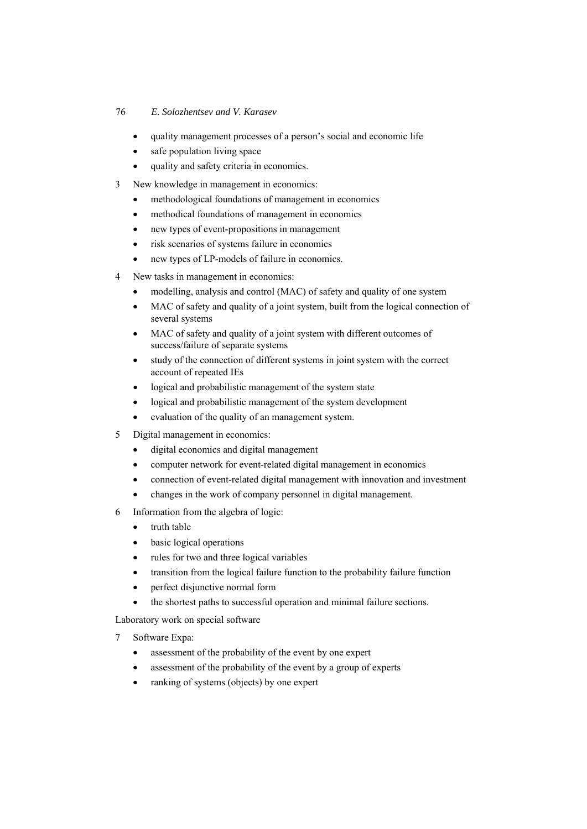## 76 *E. Solozhentsev and V. Karasev*

- quality management processes of a person's social and economic life
- safe population living space
- quality and safety criteria in economics.
- 3 New knowledge in management in economics:
	- methodological foundations of management in economics
	- methodical foundations of management in economics
	- new types of event-propositions in management
	- risk scenarios of systems failure in economics
	- new types of LP-models of failure in economics.
- 4 New tasks in management in economics:
	- modelling, analysis and control (MAC) of safety and quality of one system
	- MAC of safety and quality of a joint system, built from the logical connection of several systems
	- MAC of safety and quality of a joint system with different outcomes of success/failure of separate systems
	- study of the connection of different systems in joint system with the correct account of repeated IEs
	- logical and probabilistic management of the system state
	- logical and probabilistic management of the system development
	- evaluation of the quality of an management system.
- 5 Digital management in economics:
	- digital economics and digital management
	- computer network for event-related digital management in economics
	- connection of event-related digital management with innovation and investment
	- changes in the work of company personnel in digital management.
- 6 Information from the algebra of logic:
	- truth table
	- basic logical operations
	- rules for two and three logical variables
	- transition from the logical failure function to the probability failure function
	- perfect disjunctive normal form
	- the shortest paths to successful operation and minimal failure sections.

Laboratory work on special software

- 7 Software Expa:
	- assessment of the probability of the event by one expert
	- assessment of the probability of the event by a group of experts
	- ranking of systems (objects) by one expert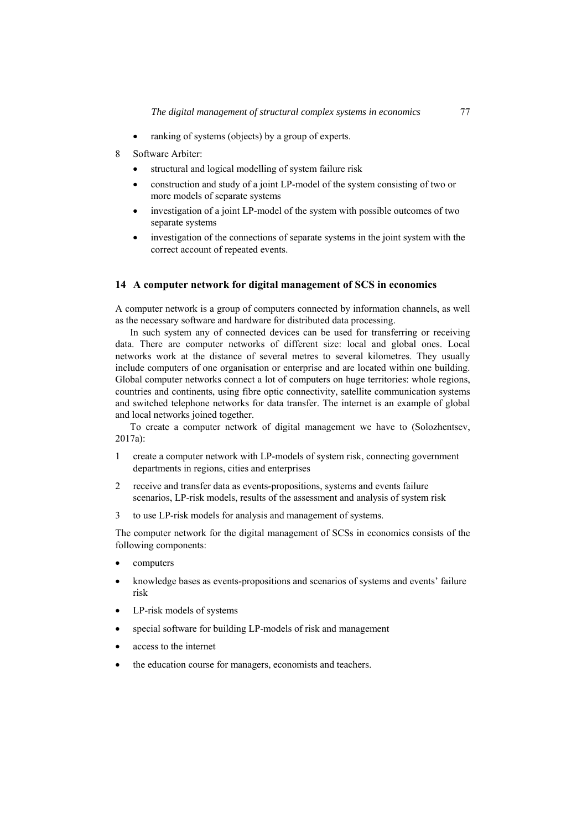• ranking of systems (objects) by a group of experts.

8 Software Arbiter:

- structural and logical modelling of system failure risk
- construction and study of a joint LP-model of the system consisting of two or more models of separate systems
- investigation of a joint LP-model of the system with possible outcomes of two separate systems
- investigation of the connections of separate systems in the joint system with the correct account of repeated events.

## **14 A computer network for digital management of SCS in economics**

A computer network is a group of computers connected by information channels, as well as the necessary software and hardware for distributed data processing.

In such system any of connected devices can be used for transferring or receiving data. There are computer networks of different size: local and global ones. Local networks work at the distance of several metres to several kilometres. They usually include computers of one organisation or enterprise and are located within one building. Global computer networks connect a lot of computers on huge territories: whole regions, countries and continents, using fibre optic connectivity, satellite communication systems and switched telephone networks for data transfer. The internet is an example of global and local networks joined together.

To create a computer network of digital management we have to (Solozhentsev, 2017a):

- 1 create a computer network with LP-models of system risk, connecting government departments in regions, cities and enterprises
- 2 receive and transfer data as events-propositions, systems and events failure scenarios, LP-risk models, results of the assessment and analysis of system risk
- 3 to use LP-risk models for analysis and management of systems.

The computer network for the digital management of SCSs in economics consists of the following components:

- computers
- knowledge bases as events-propositions and scenarios of systems and events' failure risk
- LP-risk models of systems
- special software for building LP-models of risk and management
- access to the internet
- the education course for managers, economists and teachers.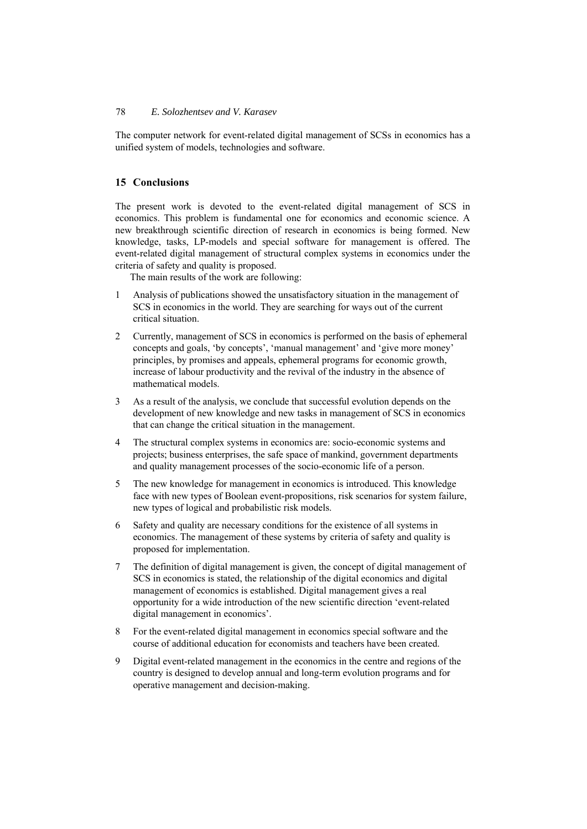The computer network for event-related digital management of SCSs in economics has a unified system of models, technologies and software.

## **15 Conclusions**

The present work is devoted to the event-related digital management of SCS in economics. This problem is fundamental one for economics and economic science. A new breakthrough scientific direction of research in economics is being formed. New knowledge, tasks, LP-models and special software for management is offered. The event-related digital management of structural complex systems in economics under the criteria of safety and quality is proposed.

The main results of the work are following:

- 1 Analysis of publications showed the unsatisfactory situation in the management of SCS in economics in the world. They are searching for ways out of the current critical situation.
- 2 Currently, management of SCS in economics is performed on the basis of ephemeral concepts and goals, 'by concepts', 'manual management' and 'give more money' principles, by promises and appeals, ephemeral programs for economic growth, increase of labour productivity and the revival of the industry in the absence of mathematical models.
- 3 As a result of the analysis, we conclude that successful evolution depends on the development of new knowledge and new tasks in management of SCS in economics that can change the critical situation in the management.
- 4 The structural complex systems in economics are: socio-economic systems and projects; business enterprises, the safe space of mankind, government departments and quality management processes of the socio-economic life of a person.
- 5 The new knowledge for management in economics is introduced. This knowledge face with new types of Boolean event-propositions, risk scenarios for system failure, new types of logical and probabilistic risk models.
- 6 Safety and quality are necessary conditions for the existence of all systems in economics. The management of these systems by criteria of safety and quality is proposed for implementation.
- 7 The definition of digital management is given, the concept of digital management of SCS in economics is stated, the relationship of the digital economics and digital management of economics is established. Digital management gives a real opportunity for a wide introduction of the new scientific direction 'event-related digital management in economics'.
- 8 For the event-related digital management in economics special software and the course of additional education for economists and teachers have been created.
- 9 Digital event-related management in the economics in the centre and regions of the country is designed to develop annual and long-term evolution programs and for operative management and decision-making.